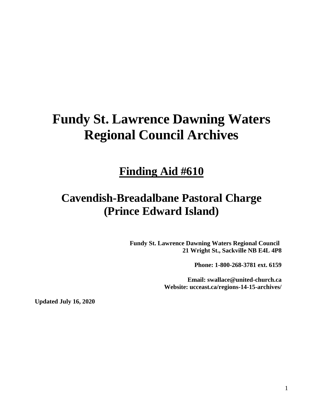# **Fundy St. Lawrence Dawning Waters Regional Council Archives**

## **Finding Aid #610**

## **Cavendish-Breadalbane Pastoral Charge (Prince Edward Island)**

**Fundy St. Lawrence Dawning Waters Regional Council 21 Wright St., Sackville NB E4L 4P8**

**Phone: 1-800-268-3781 ext. 6159**

**Email: swallace@united-church.ca Website: ucceast.ca/regions-14-15-archives/**

**Updated July 16, 2020**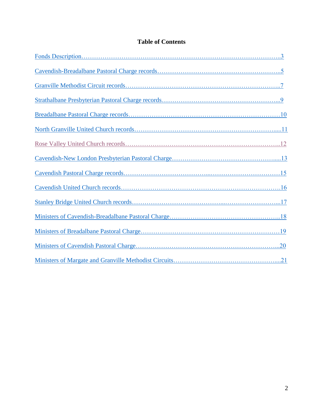## **Table of Contents**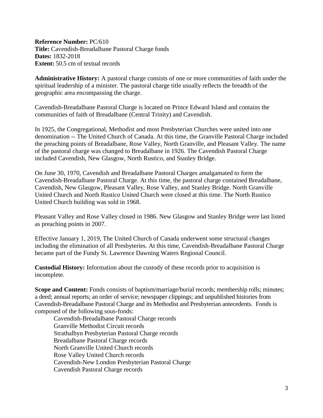<span id="page-2-0"></span>**Reference Number:** PC/610 **Title:** Cavendish-Breadalbane Pastoral Charge fonds **Dates:** 1832-2018 **Extent:** 50.5 cm of textual records

**Administrative History:** A pastoral charge consists of one or more communities of faith under the spiritual leadership of a minister. The pastoral charge title usually reflects the breadth of the geographic area encompassing the charge.

Cavendish-Breadalbane Pastoral Charge is located on Prince Edward Island and contains the communities of faith of Breadalbane (Central Trinity) and Cavendish.

In 1925, the Congregational, Methodist and most Presbyterian Churches were united into one denomination -- The United Church of Canada. At this time, the Granville Pastoral Charge included the preaching points of Breadalbane, Rose Valley, North Granville, and Pleasant Valley. The name of the pastoral charge was changed to Breadalbane in 1926. The Cavendish Pastoral Charge included Cavendish, New Glasgow, North Rustico, and Stanley Bridge.

On June 30, 1970, Cavendish and Breadalbane Pastoral Charges amalgamated to form the Cavendish-Breadalbane Pastoral Charge. At this time, the pastoral charge contained Breadalbane, Cavendish, New Glasgow, Pleasant Valley, Rose Valley, and Stanley Bridge. North Granville United Church and North Rustico United Church were closed at this time. The North Rustico United Church building was sold in 1968.

Pleasant Valley and Rose Valley closed in 1986. New Glasgow and Stanley Bridge were last listed as preaching points in 2007.

Effective January 1, 2019, The United Church of Canada underwent some structural changes including the elimination of all Presbyteries. At this time, Cavendish-Breadalbane Pastoral Charge became part of the Fundy St. Lawrence Dawning Waters Regional Council.

**Custodial History:** Information about the custody of these records prior to acquisition is incomplete.

**Scope and Content:** Fonds consists of baptism/marriage/burial records; membership rolls; minutes; a deed; annual reports; an order of service; newspaper clippings; and unpublished histories from Cavendish-Breadalbane Pastoral Charge and its Methodist and Presbyterian antecedents. Fonds is composed of the following sous-fonds:

Cavendish-Breadalbane Pastoral Charge records Granville Methodist Circuit records Strathalbyn Presbyterian Pastoral Charge records Breadalbane Pastoral Charge records North Granville United Church records Rose Valley United Church records Cavendish-New London Presbyterian Pastoral Charge Cavendish Pastoral Charge records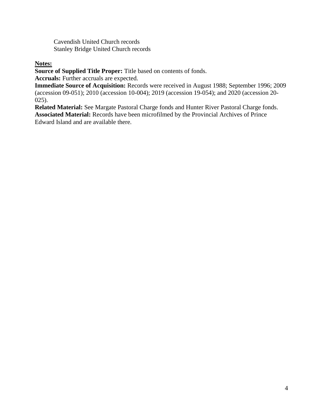Cavendish United Church records Stanley Bridge United Church records

## **Notes:**

**Source of Supplied Title Proper:** Title based on contents of fonds.

**Accruals:** Further accruals are expected.

**Immediate Source of Acquisition:** Records were received in August 1988; September 1996; 2009 (accession 09-051); 2010 (accession 10-004); 2019 (accession 19-054); and 2020 (accession 20- 025).

**Related Material:** See Margate Pastoral Charge fonds and Hunter River Pastoral Charge fonds. **Associated Material:** Records have been microfilmed by the Provincial Archives of Prince Edward Island and are available there.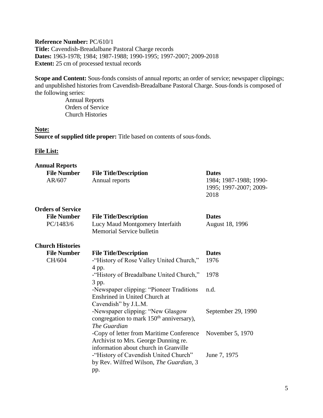## <span id="page-4-0"></span>**Reference Number:** PC/610/1

**Title:** Cavendish-Breadalbane Pastoral Charge records **Dates:** 1963-1978; 1984; 1987-1988; 1990-1995; 1997-2007; 2009-2018 **Extent:** 25 cm of processed textual records

**Scope and Content:** Sous-fonds consists of annual reports; an order of service; newspaper clippings; and unpublished histories from Cavendish-Breadalbane Pastoral Charge. Sous-fonds is composed of the following series:

> Annual Reports Orders of Service Church Histories

**Note: Source of supplied title proper:** Title based on contents of sous-fonds.

#### **File List:**

| <b>Annual Reports</b>        |                                                                                                                           |                                                                          |
|------------------------------|---------------------------------------------------------------------------------------------------------------------------|--------------------------------------------------------------------------|
| <b>File Number</b><br>AR/607 | <b>File Title/Description</b><br>Annual reports                                                                           | <b>Dates</b><br>1984; 1987-1988; 1990-<br>1995; 1997-2007; 2009-<br>2018 |
| <b>Orders of Service</b>     |                                                                                                                           |                                                                          |
| <b>File Number</b>           | <b>File Title/Description</b>                                                                                             | <b>Dates</b>                                                             |
| PC/1483/6                    | Lucy Maud Montgomery Interfaith<br>Memorial Service bulletin                                                              | August 18, 1996                                                          |
| <b>Church Histories</b>      |                                                                                                                           |                                                                          |
| <b>File Number</b>           | <b>File Title/Description</b>                                                                                             | <b>Dates</b>                                                             |
| CH/604                       | -"History of Rose Valley United Church,"<br>4 pp.                                                                         | 1976                                                                     |
|                              | -"History of Breadalbane United Church,"<br>3 pp.                                                                         | 1978                                                                     |
|                              | -Newspaper clipping: "Pioneer Traditions"<br>Enshrined in United Church at<br>Cavendish" by J.L.M.                        | n.d.                                                                     |
|                              | -Newspaper clipping: "New Glasgow<br>congregation to mark 150 <sup>th</sup> anniversary),<br>The Guardian                 | September 29, 1990                                                       |
|                              | -Copy of letter from Maritime Conference<br>Archivist to Mrs. George Dunning re.<br>information about church in Granville | November 5, 1970                                                         |
|                              | -"History of Cavendish United Church"<br>by Rev. Wilfred Wilson, The Guardian, 3<br>pp.                                   | June 7, 1975                                                             |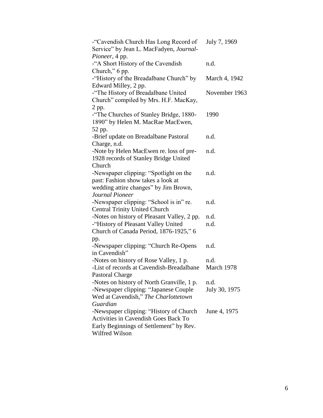| -"Cavendish Church Has Long Record of       | July 7, 1969  |
|---------------------------------------------|---------------|
| Service" by Jean L. MacFadyen, Journal-     |               |
| Pioneer, 4 pp.                              |               |
| -"A Short History of the Cavendish          | n.d.          |
| Church," 6 pp.                              |               |
| -"History of the Breadalbane Church" by     | March 4, 1942 |
| Edward Milley, 2 pp.                        |               |
| -"The History of Breadalbane United         | November 1963 |
| Church" compiled by Mrs. H.F. MacKay,       |               |
| 2 pp.                                       |               |
| -"The Churches of Stanley Bridge, 1880-     | 1990          |
| 1890" by Helen M. MacRae MacEwen,           |               |
| 52 pp.                                      |               |
| -Brief update on Breadalbane Pastoral       | n.d.          |
| Charge, n.d.                                |               |
| -Note by Helen MacEwen re. loss of pre-     | n.d.          |
| 1928 records of Stanley Bridge United       |               |
| Church                                      |               |
| -Newspaper clipping: "Spotlight on the      | n.d.          |
| past: Fashion show takes a look at          |               |
| wedding attire changes" by Jim Brown,       |               |
| Journal Pioneer                             |               |
| -Newspaper clipping: "School is in" re.     | n.d.          |
| <b>Central Trinity United Church</b>        |               |
| -Notes on history of Pleasant Valley, 2 pp. | n.d.          |
| -"History of Pleasant Valley United         | n.d.          |
| Church of Canada Period, 1876-1925," 6      |               |
| pp.                                         |               |
| -Newspaper clipping: "Church Re-Opens       | n.d.          |
| in Cavendish"                               |               |
| -Notes on history of Rose Valley, 1 p.      | n.d.          |
| -List of records at Cavendish-Breadalbane   | March 1978    |
| <b>Pastoral Charge</b>                      |               |
| -Notes on history of North Granville, 1 p.  | n.d.          |
| -Newspaper clipping: "Japanese Couple       | July 30, 1975 |
| Wed at Cavendish," The Charlottetown        |               |
| Guardian                                    |               |
| -Newspaper clipping: "History of Church     | June 4, 1975  |
| <b>Activities in Cavendish Goes Back To</b> |               |
| Early Beginnings of Settlement" by Rev.     |               |
| Wilfred Wilson                              |               |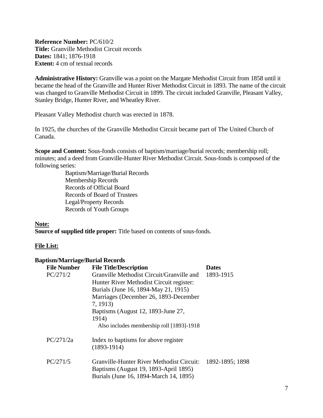<span id="page-6-0"></span>**Reference Number:** PC/610/2 **Title:** Granville Methodist Circuit records **Dates:** 1841; 1876-1918 **Extent:** 4 cm of textual records

**Administrative History:** Granville was a point on the Margate Methodist Circuit from 1858 until it became the head of the Granville and Hunter River Methodist Circuit in 1893. The name of the circuit was changed to Granville Methodist Circuit in 1899. The circuit included Granville, Pleasant Valley, Stanley Bridge, Hunter River, and Wheatley River.

Pleasant Valley Methodist church was erected in 1878.

In 1925, the churches of the Granville Methodist Circuit became part of The United Church of Canada.

**Scope and Content:** Sous-fonds consists of baptism/marriage/burial records; membership roll; minutes; and a deed from Granville-Hunter River Methodist Circuit. Sous-fonds is composed of the following series:

> Baptism/Marriage/Burial Records Membership Records Records of Official Board Records of Board of Trustees Legal/Property Records Records of Youth Groups

**Note: Source of supplied title proper:** Title based on contents of sous-fonds.

## **File List:**

#### **Baptism/Marriage/Burial Records**

| <b>File Number</b> | <b>File Title/Description</b>                                                                                                | <b>Dates</b>    |
|--------------------|------------------------------------------------------------------------------------------------------------------------------|-----------------|
| PC/271/2           | Granville Methodist Circuit/Granville and                                                                                    | 1893-1915       |
|                    | Hunter River Methodist Circuit register:                                                                                     |                 |
|                    | Burials (June 16, 1894-May 21, 1915)                                                                                         |                 |
|                    | Marriages (December 26, 1893-December                                                                                        |                 |
|                    | 7, 1913)                                                                                                                     |                 |
|                    | Baptisms (August 12, 1893-June 27,                                                                                           |                 |
|                    | 1914)                                                                                                                        |                 |
|                    | Also includes membership roll [1893]-1918                                                                                    |                 |
| PC/271/2a          | Index to baptisms for above register<br>$(1893-1914)$                                                                        |                 |
| PC/271/5           | Granville-Hunter River Methodist Circuit:<br>Baptisms (August 19, 1893-April 1895)<br>Burials (June 16, 1894-March 14, 1895) | 1892-1895; 1898 |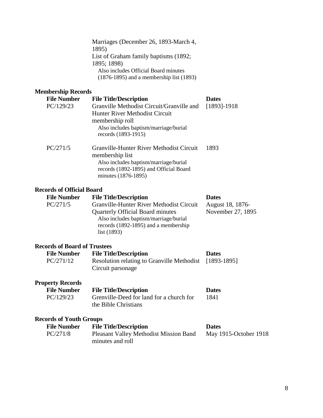Marriages (December 26, 1893-March 4, 1895) List of Graham family baptisms (1892; 1895; 1898) Also includes Official Board minutes (1876-1895) and a membership list (1893)

## **Membership Records**

| embership Records  |                                                                                                                                                                       |                 |
|--------------------|-----------------------------------------------------------------------------------------------------------------------------------------------------------------------|-----------------|
| <b>File Number</b> | <b>File Title/Description</b>                                                                                                                                         | <b>Dates</b>    |
| PC/129/23          | Granville Methodist Circuit/Granville and<br>Hunter River Methodist Circuit<br>membership roll<br>Also includes baptism/marriage/burial<br>records (1893-1915)        | $[1893] - 1918$ |
| PC/271/5           | Granville-Hunter River Methodist Circuit<br>membership list<br>Also includes baptism/marriage/burial<br>records (1892-1895) and Official Board<br>minutes (1876-1895) | 1893            |

#### **Records of Official Board**

| <b>Dates</b>      |
|-------------------|
| August 18, 1876-  |
| November 27, 1895 |
|                   |
|                   |
|                   |
|                   |

#### **Records of Board of Trustees**

| <b>File Number</b> | <b>File Title/Description</b>                          | <b>Dates</b> |
|--------------------|--------------------------------------------------------|--------------|
| PC/271/12          | Resolution relating to Granville Methodist [1893-1895] |              |
|                    | Circuit parsonage                                      |              |
|                    |                                                        |              |

## **Property Records**

| <b>File Number</b> | <b>File Title/Description</b>            | <b>Dates</b> |
|--------------------|------------------------------------------|--------------|
| PC/129/23          | Grenville-Deed for land for a church for | 1841         |
|                    | the Bible Christians                     |              |

#### **Records of Youth Groups**

| <b>File Number</b> | <b>File Title/Description</b>                 | <b>Dates</b>          |
|--------------------|-----------------------------------------------|-----------------------|
| PC/271/8           | <b>Pleasant Valley Methodist Mission Band</b> | May 1915-October 1918 |
|                    | minutes and roll                              |                       |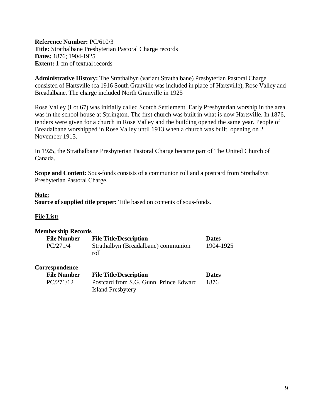<span id="page-8-0"></span>**Reference Number:** PC/610/3 **Title:** Strathalbane Presbyterian Pastoral Charge records **Dates:** 1876; 1904-1925 **Extent:** 1 cm of textual records

**Administrative History:** The Strathalbyn (variant Strathalbane) Presbyterian Pastoral Charge consisted of Hartsville (ca 1916 South Granville was included in place of Hartsville), Rose Valley and Breadalbane. The charge included North Granville in 1925

Rose Valley (Lot 67) was initially called Scotch Settlement. Early Presbyterian worship in the area was in the school house at Springton. The first church was built in what is now Hartsville. In 1876, tenders were given for a church in Rose Valley and the building opened the same year. People of Breadalbane worshipped in Rose Valley until 1913 when a church was built, opening on 2 November 1913.

In 1925, the Strathalbane Presbyterian Pastoral Charge became part of The United Church of Canada.

**Scope and Content:** Sous-fonds consists of a communion roll and a postcard from Strathalbyn Presbyterian Pastoral Charge.

#### **Note:**

**Source of supplied title proper:** Title based on contents of sous-fonds.

## **File List:**

#### **Membership Records**

| <b>File Number</b> | <b>File Title/Description</b>               | <b>Dates</b> |
|--------------------|---------------------------------------------|--------------|
| PC/271/4           | Strathalbyn (Breadalbane) communion<br>roll | 1904-1925    |
| Correspondence     |                                             |              |
| <b>File Number</b> | <b>File Title/Description</b>               | <b>Dates</b> |
| PC/271/12          | Postcard from S.G. Gunn, Prince Edward      | 1876         |
|                    | <b>Island Presbytery</b>                    |              |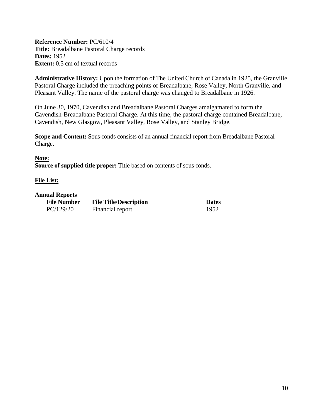<span id="page-9-0"></span>**Reference Number:** PC/610/4 **Title:** Breadalbane Pastoral Charge records **Dates:** 1952 **Extent:** 0.5 cm of textual records

**Administrative History:** Upon the formation of The United Church of Canada in 1925, the Granville Pastoral Charge included the preaching points of Breadalbane, Rose Valley, North Granville, and Pleasant Valley. The name of the pastoral charge was changed to Breadalbane in 1926.

On June 30, 1970, Cavendish and Breadalbane Pastoral Charges amalgamated to form the Cavendish-Breadalbane Pastoral Charge. At this time, the pastoral charge contained Breadalbane, Cavendish, New Glasgow, Pleasant Valley, Rose Valley, and Stanley Bridge.

**Scope and Content:** Sous-fonds consists of an annual financial report from Breadalbane Pastoral Charge.

#### **Note:**

**Source of supplied title proper:** Title based on contents of sous-fonds.

#### **File List:**

#### **Annual Reports**

| <b>File Number</b> | <b>File Title/Description</b> | <b>Dates</b> |
|--------------------|-------------------------------|--------------|
| PC/129/20          | Financial report              | 1952         |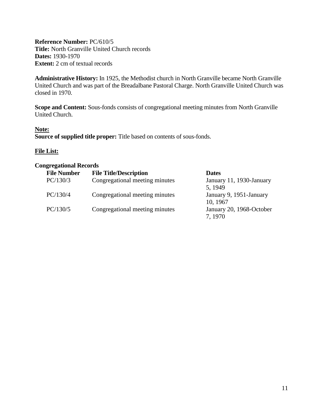<span id="page-10-0"></span>**Reference Number:** PC/610/5 **Title:** North Granville United Church records **Dates:** 1930-1970 **Extent:** 2 cm of textual records

**Administrative History:** In 1925, the Methodist church in North Granville became North Granville United Church and was part of the Breadalbane Pastoral Charge. North Granville United Church was closed in 1970.

**Scope and Content:** Sous-fonds consists of congregational meeting minutes from North Granville United Church.

#### **Note:**

**Source of supplied title proper:** Title based on contents of sous-fonds.

### **File List:**

#### **Congregational Records**

| <b>File Number</b> | <b>File Title/Description</b>  | <b>Dates</b>             |
|--------------------|--------------------------------|--------------------------|
| PC/130/3           | Congregational meeting minutes | January 11, 1930-January |
|                    |                                | 5, 1949                  |
| PC/130/4           | Congregational meeting minutes | January 9, 1951-January  |
|                    |                                | 10, 1967                 |
| PC/130/5           | Congregational meeting minutes | January 20, 1968-October |
|                    |                                | 7, 1970                  |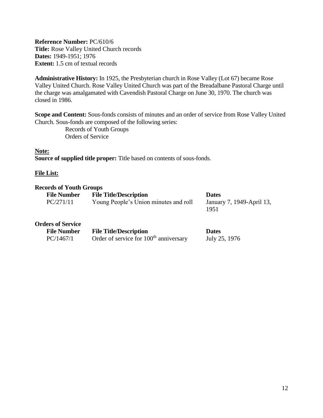<span id="page-11-0"></span>**Reference Number:** PC/610/6 **Title:** Rose Valley United Church records **Dates:** 1949-1951; 1976 **Extent:** 1.5 cm of textual records

**Administrative History:** In 1925, the Presbyterian church in Rose Valley (Lot 67) became Rose Valley United Church. Rose Valley United Church was part of the Breadalbane Pastoral Charge until the charge was amalgamated with Cavendish Pastoral Charge on June 30, 1970. The church was closed in 1986.

**Scope and Content:** Sous-fonds consists of minutes and an order of service from Rose Valley United Church. Sous-fonds are composed of the following series:

> Records of Youth Groups Orders of Service

**Note: Source of supplied title proper:** Title based on contents of sous-fonds.

#### **File List:**

#### **Records of Youth Groups**

| <b>File Number</b>       | <b>File Title/Description</b>                      | <b>Dates</b>                      |
|--------------------------|----------------------------------------------------|-----------------------------------|
| PC/271/11                | Young People's Union minutes and roll              | January 7, 1949-April 13,<br>1951 |
| <b>Orders of Service</b> |                                                    |                                   |
| <b>File Number</b>       | <b>File Title/Description</b>                      | <b>Dates</b>                      |
| PC/1467/1                | Order of service for 100 <sup>th</sup> anniversary | July 25, 1976                     |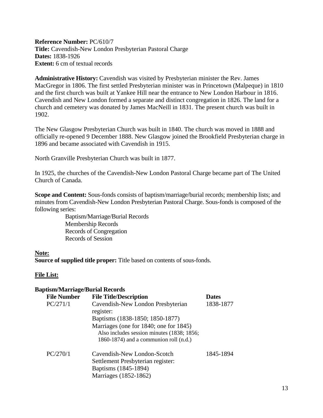<span id="page-12-0"></span>**Reference Number:** PC/610/7 **Title:** Cavendish-New London Presbyterian Pastoral Charge **Dates:** 1838-1926 **Extent:** 6 cm of textual records

**Administrative History:** Cavendish was visited by Presbyterian minister the Rev. James MacGregor in 1806. The first settled Presbyterian minister was in Princetown (Malpeque) in 1810 and the first church was built at Yankee Hill near the entrance to New London Harbour in 1816. Cavendish and New London formed a separate and distinct congregation in 1826. The land for a church and cemetery was donated by James MacNeill in 1831. The present church was built in 1902.

The New Glasgow Presbyterian Church was built in 1840. The church was moved in 1888 and officially re-opened 9 December 1888. New Glasgow joined the Brookfield Presbyterian charge in 1896 and became associated with Cavendish in 1915.

North Granville Presbyterian Church was built in 1877.

In 1925, the churches of the Cavendish-New London Pastoral Charge became part of The United Church of Canada.

**Scope and Content:** Sous-fonds consists of baptism/marriage/burial records; membership lists; and minutes from Cavendish-New London Presbyterian Pastoral Charge. Sous-fonds is composed of the following series:

> Baptism/Marriage/Burial Records Membership Records Records of Congregation Records of Session

#### **Note:**

**Source of supplied title proper:** Title based on contents of sous-fonds.

## **File List:**

#### **Baptism/Marriage/Burial Records**

| <b>File Number</b> | <b>File Title/Description</b>                                                                                                    | <b>Dates</b> |
|--------------------|----------------------------------------------------------------------------------------------------------------------------------|--------------|
| PC/271/1           | Cavendish-New London Presbyterian<br>register:                                                                                   | 1838-1877    |
|                    | Baptisms (1838-1850; 1850-1877)                                                                                                  |              |
|                    | Marriages (one for 1840; one for 1845)<br>Also includes session minutes (1838; 1856;<br>1860-1874) and a communion roll $(n.d.)$ |              |
| PC/270/1           | Cavendish-New London-Scotch<br>Settlement Presbyterian register:<br>Baptisms (1845-1894)<br>Marriages (1852-1862)                | 1845-1894    |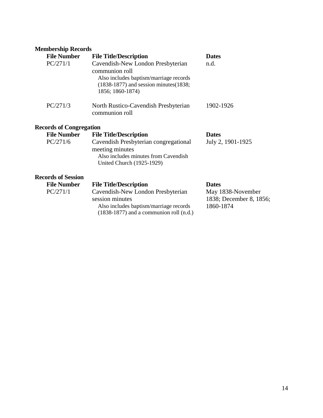## **Membership Records**

| <b>File Number</b>             | <b>File Title/Description</b>                                                                                                                                   | <b>Dates</b>                                              |
|--------------------------------|-----------------------------------------------------------------------------------------------------------------------------------------------------------------|-----------------------------------------------------------|
| PC/271/1                       | Cavendish-New London Presbyterian<br>communion roll<br>Also includes baptism/marriage records<br>$(1838-1877)$ and session minutes $(1838;$<br>1856; 1860-1874) | n.d.                                                      |
| PC/271/3                       | North Rustico-Cavendish Presbyterian<br>communion roll                                                                                                          | 1902-1926                                                 |
| <b>Records of Congregation</b> |                                                                                                                                                                 |                                                           |
| <b>File Number</b>             | <b>File Title/Description</b>                                                                                                                                   | <b>Dates</b>                                              |
| PC/271/6                       | Cavendish Presbyterian congregational<br>meeting minutes<br>Also includes minutes from Cavendish<br>United Church (1925-1929)                                   | July 2, 1901-1925                                         |
| <b>Records of Session</b>      |                                                                                                                                                                 |                                                           |
| <b>File Number</b>             | <b>File Title/Description</b>                                                                                                                                   | <b>Dates</b>                                              |
| PC/271/1                       | Cavendish-New London Presbyterian<br>session minutes<br>Also includes baptism/marriage records<br>$(1838-1877)$ and a communion roll $(n.d.)$                   | May 1838-November<br>1838; December 8, 1856;<br>1860-1874 |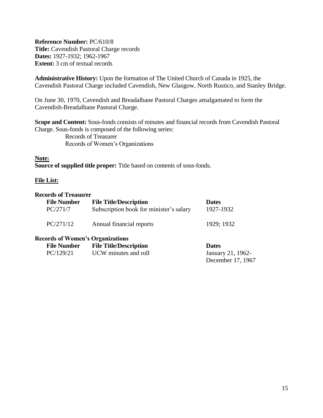<span id="page-14-0"></span>**Reference Number:** PC/610/8 **Title:** Cavendish Pastoral Charge records **Dates:** 1927-1932; 1962-1967 **Extent:** 3 cm of textual records

**Administrative History:** Upon the formation of The United Church of Canada in 1925, the Cavendish Pastoral Charge included Cavendish, New Glasgow, North Rustico, and Stanley Bridge.

On June 30, 1970, Cavendish and Breadalbane Pastoral Charges amalgamated to form the Cavendish-Breadalbane Pastoral Charge.

**Scope and Content:** Sous-fonds consists of minutes and financial records from Cavendish Pastoral Charge. Sous-fonds is composed of the following series: Records of Treasurer Records of Women's Organizations

#### **Note:**

**Source of supplied title proper:** Title based on contents of sous-fonds.

#### **File List:**

#### **Records of Treasurer**

| <b>File Number</b><br>PC/271/7 | <b>File Title/Description</b><br>Subscription book for minister's salary | <b>Dates</b><br>1927-1932 |
|--------------------------------|--------------------------------------------------------------------------|---------------------------|
| PC/271/12                      | Annual financial reports                                                 | 1929; 1932                |
|                                |                                                                          |                           |

#### **Records of Women's Organizations**

| <b>File Number</b> | <b>File Title/Description</b> | <b>Dates</b>      |
|--------------------|-------------------------------|-------------------|
| PC/129/21          | UCW minutes and roll          | January 21, 1962- |
|                    |                               | December 17, 1967 |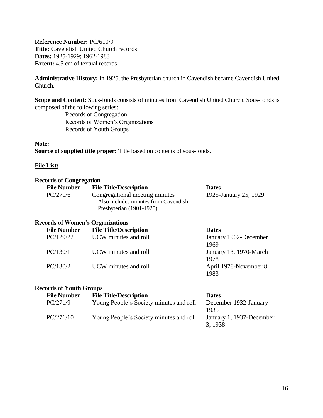<span id="page-15-0"></span>**Reference Number:** PC/610/9 **Title:** Cavendish United Church records **Dates:** 1925-1929; 1962-1983 **Extent:** 4.5 cm of textual records

**Administrative History:** In 1925, the Presbyterian church in Cavendish became Cavendish United Church.

**Scope and Content:** Sous-fonds consists of minutes from Cavendish United Church. Sous-fonds is composed of the following series:

> Records of Congregation Records of Women's Organizations Records of Youth Groups

#### **Note:**

**Source of supplied title proper:** Title based on contents of sous-fonds.

#### **File List:**

#### **Records of Congregation**

| <b>File Number</b> | <b>File Title/Description</b>        | <b>Dates</b>          |
|--------------------|--------------------------------------|-----------------------|
| PC/271/6           | Congregational meeting minutes       | 1925-January 25, 1929 |
|                    | Also includes minutes from Cavendish |                       |
|                    | Presbyterian $(1901-1925)$           |                       |

#### **Records of Women's Organizations**

| <b>File Number</b> | <b>File Title/Description</b> | <b>Dates</b>           |
|--------------------|-------------------------------|------------------------|
| PC/129/22          | UCW minutes and roll          | January 1962-December  |
|                    |                               | 1969                   |
| PC/130/1           | UCW minutes and roll          | January 13, 1970-March |
|                    |                               | 1978                   |
| PC/130/2           | UCW minutes and roll          | April 1978-November 8, |
|                    |                               | 1983                   |

#### **Records of Youth Groups**

| <b>File Number</b> | <b>File Title/Description</b>           | <b>Dates</b>             |
|--------------------|-----------------------------------------|--------------------------|
| PC/271/9           | Young People's Society minutes and roll | December 1932-January    |
|                    |                                         | 1935                     |
| PC/271/10          | Young People's Society minutes and roll | January 1, 1937-December |
|                    |                                         | 3, 1938                  |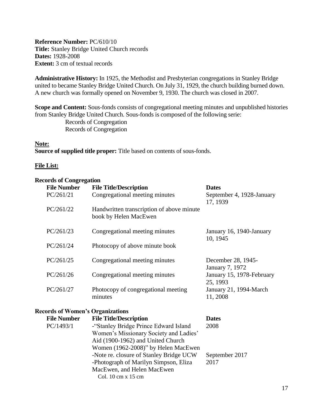<span id="page-16-0"></span>**Reference Number:** PC/610/10 **Title:** Stanley Bridge United Church records **Dates:** 1928-2008 **Extent:** 3 cm of textual records

**Administrative History:** In 1925, the Methodist and Presbyterian congregations in Stanley Bridge united to became Stanley Bridge United Church. On July 31, 1929, the church building burned down. A new church was formally opened on November 9, 1930. The church was closed in 2007.

**Scope and Content:** Sous-fonds consists of congregational meeting minutes and unpublished histories from Stanley Bridge United Church. Sous-fonds is composed of the following serie: Records of Congregation Records of Congregation

#### **Note:**

**Source of supplied title proper:** Title based on contents of sous-fonds.

#### **File List:**

#### **Records of Congregation**

| <b>File Number</b>                      | <b>File Title/Description</b>                                                                                                                               | <b>Dates</b>                          |
|-----------------------------------------|-------------------------------------------------------------------------------------------------------------------------------------------------------------|---------------------------------------|
| PC/261/21                               | Congregational meeting minutes                                                                                                                              | September 4, 1928-January<br>17, 1939 |
| PC/261/22                               | Handwritten transcription of above minute<br>book by Helen MacEwen                                                                                          |                                       |
| PC/261/23                               | Congregational meeting minutes                                                                                                                              | January 16, 1940-January<br>10, 1945  |
| PC/261/24                               | Photocopy of above minute book                                                                                                                              |                                       |
| PC/261/25                               | Congregational meeting minutes                                                                                                                              | December 28, 1945-<br>January 7, 1972 |
| PC/261/26                               | Congregational meeting minutes                                                                                                                              | January 15, 1978-February<br>25, 1993 |
| PC/261/27                               | Photocopy of congregational meeting<br>minutes                                                                                                              | January 21, 1994-March<br>11, 2008    |
| <b>Records of Women's Organizations</b> |                                                                                                                                                             |                                       |
| <b>File Number</b>                      | <b>File Title/Description</b>                                                                                                                               | <b>Dates</b>                          |
| PC/1493/1                               | -"Stanley Bridge Prince Edward Island<br>Women's Missionary Society and Ladies'<br>Aid (1900-1962) and United Church<br>Women (1962-2008)" by Helen MacEwen | 2008                                  |
|                                         | -Note re. closure of Stanley Bridge UCW<br>-Photograph of Marilyn Simpson, Eliza<br>MacEwen, and Helen MacEwen                                              | September 2017<br>2017                |

Col. 10 cm x 15 cm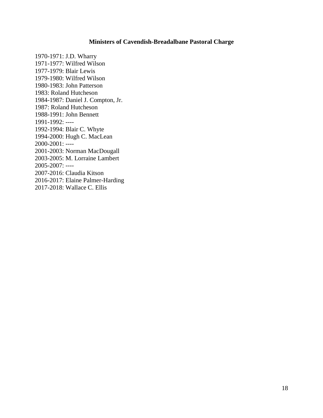### **Ministers of Cavendish-Breadalbane Pastoral Charge**

<span id="page-17-0"></span>1970-1971: J.D. Wharry 1971-1977: Wilfred Wilson 1977-1979: Blair Lewis 1979-1980: Wilfred Wilson 1980-1983: John Patterson 1983: Roland Hutcheson 1984-1987: Daniel J. Compton, Jr. 1987: Roland Hutcheson 1988-1991: John Bennett 1991-1992: ---- 1992-1994: Blair C. Whyte 1994-2000: Hugh C. MacLean 2000-2001: ---- 2001-2003: Norman MacDougall 2003-2005: M. Lorraine Lambert 2005-2007: ---- 2007-2016: Claudia Kitson 2016-2017: Elaine Palmer-Harding 2017-2018: Wallace C. Ellis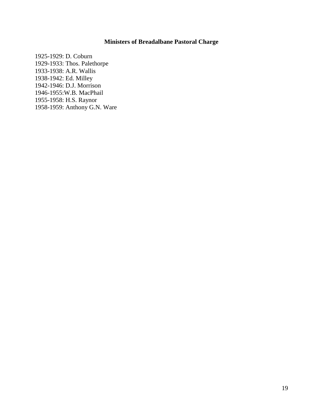## **Ministers of Breadalbane Pastoral Charge**

<span id="page-18-0"></span>1925-1929: D. Coburn 1929-1933: Thos. Palethorpe 1933-1938: A.R. Wallis 1938-1942: Ed. Milley 1942-1946: D.J. Morrison 1946-1955:W.B. MacPhail 1955-1958: H.S. Raynor 1958-1959: Anthony G.N. Ware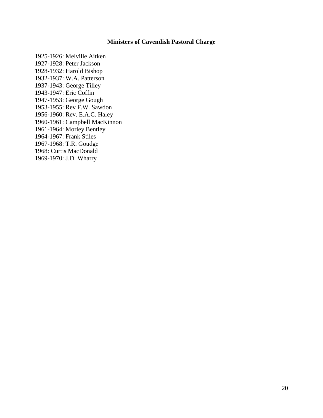## **Ministers of Cavendish Pastoral Charge**

<span id="page-19-0"></span>1925-1926: Melville Aitken 1927-1928: Peter Jackson 1928-1932: Harold Bishop 1932-1937: W.A. Patterson 1937-1943: George Tilley 1943-1947: Eric Coffin 1947-1953: George Gough 1953-1955: Rev F.W. Sawdon 1956-1960: Rev. E.A.C. Haley 1960-1961: Campbell MacKinnon 1961-1964: Morley Bentley 1964-1967: Frank Stiles 1967-1968: T.R. Goudge 1968: Curtis MacDonald 1969-1970: J.D. Wharry